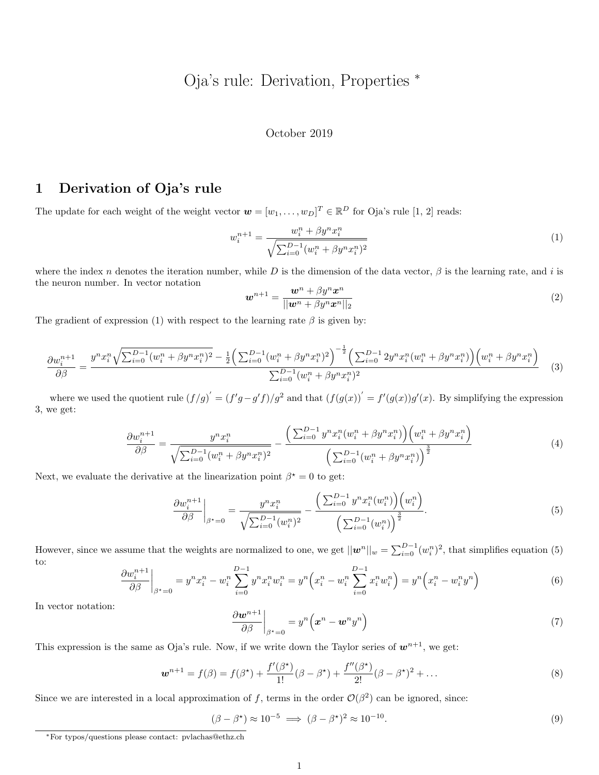# Oja's rule: Derivation, Properties <sup>∗</sup>

#### October 2019

# 1 Derivation of Oja's rule

The update for each weight of the weight vector  $\mathbf{w} = [w_1, \dots, w_D]^T \in \mathbb{R}^D$  for Oja's rule [1, 2] reads:

$$
w_i^{n+1} = \frac{w_i^n + \beta y^n x_i^n}{\sqrt{\sum_{i=0}^{D-1} (w_i^n + \beta y^n x_i^n)^2}}
$$
(1)

where the index n denotes the iteration number, while D is the dimension of the data vector,  $\beta$  is the learning rate, and i is the neuron number. In vector notation

$$
\boldsymbol{w}^{n+1} = \frac{\boldsymbol{w}^n + \beta y^n \boldsymbol{x}^n}{||\boldsymbol{w}^n + \beta y^n \boldsymbol{x}^n||_2}
$$
\n<sup>(2)</sup>

The gradient of expression (1) with respect to the learning rate  $\beta$  is given by:

$$
\frac{\partial w_i^{n+1}}{\partial \beta} = \frac{y^n x_i^n \sqrt{\sum_{i=0}^{D-1} (w_i^n + \beta y^n x_i^n)^2} - \frac{1}{2} \left( \sum_{i=0}^{D-1} (w_i^n + \beta y^n x_i^n)^2 \right)^{-\frac{1}{2}} \left( \sum_{i=0}^{D-1} 2 y^n x_i^n (w_i^n + \beta y^n x_i^n) \right) \left( w_i^n + \beta y^n x_i^n \right)}{\sum_{i=0}^{D-1} (w_i^n + \beta y^n x_i^n)^2} \tag{3}
$$

where we used the quotient rule  $(f/g)' = (f'g - g'f)/g^2$  and that  $(f(g(x))' = f'(g(x))g'(x)$ . By simplifying the expression 3, we get:

$$
\frac{\partial w_i^{n+1}}{\partial \beta} = \frac{y^n x_i^n}{\sqrt{\sum_{i=0}^{D-1} (w_i^n + \beta y^n x_i^n)^2}} - \frac{\left(\sum_{i=0}^{D-1} y^n x_i^n (w_i^n + \beta y^n x_i^n)\right) \left(w_i^n + \beta y^n x_i^n\right)}{\left(\sum_{i=0}^{D-1} (w_i^n + \beta y^n x_i^n)\right)^{\frac{3}{2}}}
$$
(4)

Next, we evaluate the derivative at the linearization point  $\beta^* = 0$  to get:

$$
\frac{\partial w_i^{n+1}}{\partial \beta}\Big|_{\beta^*=0} = \frac{y^n x_i^n}{\sqrt{\sum_{i=0}^{D-1} (w_i^n)^2}} - \frac{\left(\sum_{i=0}^{D-1} y^n x_i^n(w_i^n)\right)\left(w_i^n\right)}{\left(\sum_{i=0}^{D-1} (w_i^n)\right)^{\frac{3}{2}}}.
$$
\n(5)

However, since we assume that the weights are normalized to one, we get  $||\mathbf{w}^n||_{w} = \sum_{i=0}^{D-1} (w_i^n)^2$ , that simplifies equation (5) to:

$$
\frac{\partial w_i^{n+1}}{\partial \beta}\bigg|_{\beta^*=0} = y^n x_i^n - w_i^n \sum_{i=0}^{D-1} y^n x_i^n w_i^n = y^n \left( x_i^n - w_i^n \sum_{i=0}^{D-1} x_i^n w_i^n \right) = y^n \left( x_i^n - w_i^n y^n \right) \tag{6}
$$

In vector notation:

$$
\left. \frac{\partial \boldsymbol{w}^{n+1}}{\partial \beta} \right|_{\beta^* = 0} = y^n \left( \boldsymbol{x}^n - \boldsymbol{w}^n y^n \right) \tag{7}
$$

This expression is the same as Oja's rule. Now, if we write down the Taylor series of  $w^{n+1}$ , we get:

$$
\boldsymbol{w}^{n+1} = f(\beta) = f(\beta^*) + \frac{f'(\beta^*)}{1!}(\beta - \beta^*) + \frac{f''(\beta^*)}{2!}(\beta - \beta^*)^2 + \dots
$$
\n(8)

Since we are interested in a local approximation of f, terms in the order  $\mathcal{O}(\beta^2)$  can be ignored, since:

$$
(\beta - \beta^*) \approx 10^{-5} \implies (\beta - \beta^*)^2 \approx 10^{-10}.\tag{9}
$$

<sup>∗</sup>For typos/questions please contact: pvlachas@ethz.ch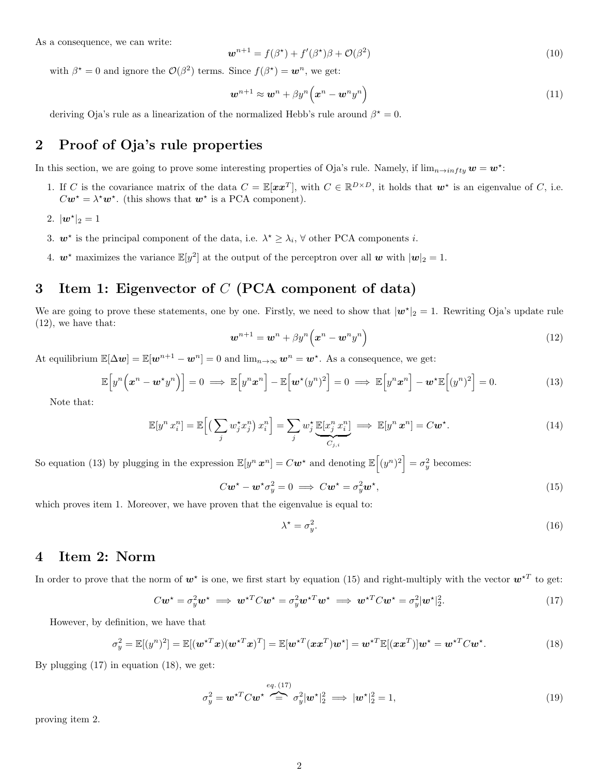As a consequence, we can write:

$$
\boldsymbol{w}^{n+1} = f(\beta^{\star}) + f'(\beta^{\star})\beta + \mathcal{O}(\beta^2)
$$
\n<sup>(10)</sup>

with  $\beta^* = 0$  and ignore the  $\mathcal{O}(\beta^2)$  terms. Since  $f(\beta^*) = \mathbf{w}^n$ , we get:

$$
\boldsymbol{w}^{n+1} \approx \boldsymbol{w}^n + \beta y^n \Big( \boldsymbol{x}^n - \boldsymbol{w}^n y^n \Big) \tag{11}
$$

deriving Oja's rule as a linearization of the normalized Hebb's rule around  $\beta^* = 0$ .

# 2 Proof of Oja's rule properties

In this section, we are going to prove some interesting properties of Oja's rule. Namely, if  $\lim_{n\to\infty} w = w^*$ :

- 1. If C is the covariance matrix of the data  $C = \mathbb{E}[xx^T]$ , with  $C \in \mathbb{R}^{D \times D}$ , it holds that  $w^*$  is an eigenvalue of C, i.e.  $C\mathbf{w}^* = \lambda^* \mathbf{w}^*$ . (this shows that  $\mathbf{w}^*$  is a PCA component).
- 2.  $|\mathbf{w}^{\star}|_2 = 1$
- 3.  $w^*$  is the principal component of the data, i.e.  $\lambda^* \geq \lambda_i$ ,  $\forall$  other PCA components *i*.
- 4.  $w^*$  maximizes the variance  $\mathbb{E}[y^2]$  at the output of the perceptron over all w with  $|w|_2 = 1$ .

# 3 Item 1: Eigenvector of  $C$  (PCA component of data)

We are going to prove these statements, one by one. Firstly, we need to show that  $|w^*|_2 = 1$ . Rewriting Oja's update rule (12), we have that:

$$
\boldsymbol{w}^{n+1} = \boldsymbol{w}^n + \beta y^n \left( \boldsymbol{x}^n - \boldsymbol{w}^n y^n \right) \tag{12}
$$

At equilibrium  $\mathbb{E}[\Delta w] = \mathbb{E}[w^{n+1} - w^n] = 0$  and  $\lim_{n \to \infty} w^n = w^*$ . As a consequence, we get:

$$
\mathbb{E}\Big[y^n\Big(\boldsymbol{x}^n - \boldsymbol{w}^{\star}y^n\Big)\Big] = 0 \implies \mathbb{E}\Big[y^n\boldsymbol{x}^n\Big] - \mathbb{E}\Big[\boldsymbol{w}^{\star}(y^n)^2\Big] = 0 \implies \mathbb{E}\Big[y^n\boldsymbol{x}^n\Big] - \boldsymbol{w}^{\star}\mathbb{E}\Big[(y^n)^2\Big] = 0. \tag{13}
$$

Note that:

$$
\mathbb{E}[y^n x_i^n] = \mathbb{E}\Big[\Big(\sum_j w_j^* x_j^n\Big) x_i^n\Big] = \sum_j w_j^* \underbrace{\mathbb{E}[x_j^n x_i^n]}_{C_{j,i}} \implies \mathbb{E}[y^n \mathbf{x}^n] = C \mathbf{w}^*.
$$
\n(14)

So equation (13) by plugging in the expression  $\mathbb{E}[y^n \, x^n] = C \mathbf{w}^*$  and denoting  $\mathbb{E}\left[(y^n)^2\right] = \sigma_y^2$  becomes:

$$
C\mathbf{w}^* - \mathbf{w}^*\sigma_y^2 = 0 \implies C\mathbf{w}^* = \sigma_y^2 \mathbf{w}^*,
$$
\n(15)

which proves item 1. Moreover, we have proven that the eigenvalue is equal to:

$$
\lambda^* = \sigma_y^2. \tag{16}
$$

### 4 Item 2: Norm

In order to prove that the norm of  $w^*$  is one, we first start by equation (15) and right-multiply with the vector  $w^{*T}$  to get:

$$
C\mathbf{w}^* = \sigma_y^2 \mathbf{w}^* \implies \mathbf{w}^{*T} C \mathbf{w}^* = \sigma_y^2 \mathbf{w}^{*T} \mathbf{w}^* \implies \mathbf{w}^{*T} C \mathbf{w}^* = \sigma_y^2 |\mathbf{w}^*|_2^2. \tag{17}
$$

However, by definition, we have that

$$
\sigma_y^2 = \mathbb{E}[(y^n)^2] = \mathbb{E}[(\boldsymbol{w}^{\star T}\boldsymbol{x})(\boldsymbol{w}^{\star T}\boldsymbol{x})^T] = \mathbb{E}[\boldsymbol{w}^{\star T}(\boldsymbol{x}\boldsymbol{x}^T)\boldsymbol{w}^{\star}] = \boldsymbol{w}^{\star T}\mathbb{E}[(\boldsymbol{x}\boldsymbol{x}^T)]\boldsymbol{w}^{\star} = \boldsymbol{w}^{\star T}C\boldsymbol{w}^{\star}.
$$
\n(18)

By plugging (17) in equation (18), we get:

$$
\sigma_y^2 = \boldsymbol{w}^{\star T} C \boldsymbol{w}^{\star} \stackrel{eq. \ (17)}{=} \sigma_y^2 |\boldsymbol{w}^{\star}|_2^2 \implies |\boldsymbol{w}^{\star}|_2^2 = 1,\tag{19}
$$

proving item 2.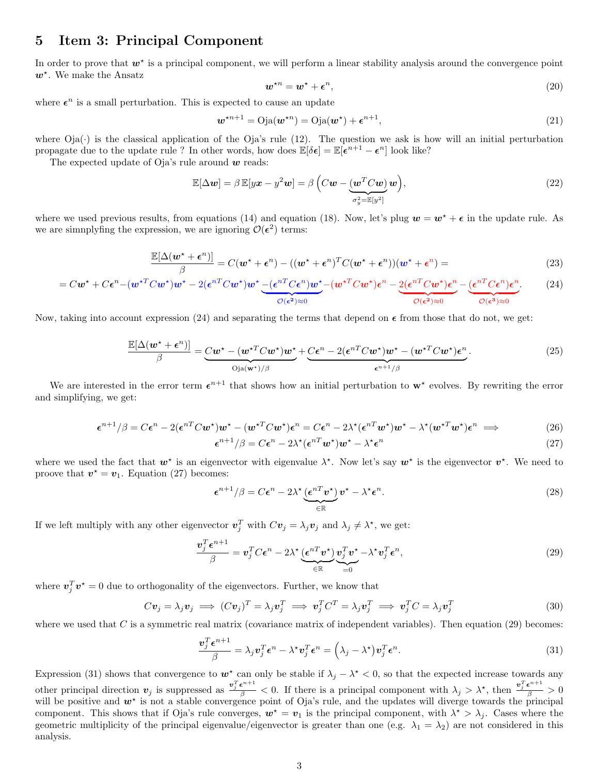### 5 Item 3: Principal Component

In order to prove that  $w^*$  is a principal component, we will perform a linear stability analysis around the convergence point  $w^*$ . We make the Ansatz

$$
\mathbf{w}^{\star n} = \mathbf{w}^{\star} + \boldsymbol{\epsilon}^n,\tag{20}
$$

where  $\epsilon^n$  is a small perturbation. This is expected to cause an update

$$
\boldsymbol{w}^{\star n+1} = \text{Oja}(\boldsymbol{w}^{\star n}) = \text{Oja}(\boldsymbol{w}^{\star}) + \boldsymbol{\epsilon}^{n+1},\tag{21}
$$

where  $Oja(\cdot)$  is the classical application of the  $Oja's$  rule (12). The question we ask is how will an initial perturbation propagate due to the update rule? In other words, how does  $\mathbb{E}[\delta \epsilon] = \mathbb{E}[\epsilon^{n+1} - \epsilon^n]$  look like?

The expected update of Oja's rule around  $w$  reads:

$$
\mathbb{E}[\Delta \mathbf{w}] = \beta \mathbb{E}[y\mathbf{x} - y^2 \mathbf{w}] = \beta \left( C\mathbf{w} - \underbrace{(\mathbf{w}^T C \mathbf{w})}_{\sigma_y^2 = \mathbb{E}[y^2]} \mathbf{w} \right),\tag{22}
$$

where we used previous results, from equations (14) and equation (18). Now, let's plug  $w = w^* + \epsilon$  in the update rule. As we are simmply fing the expression, we are ignoring  $\mathcal{O}(\epsilon^2)$  terms:

$$
\frac{\mathbb{E}[\Delta(\boldsymbol{w}^{\star}+\boldsymbol{\epsilon}^n)]}{\beta} = C(\boldsymbol{w}^{\star}+\boldsymbol{\epsilon}^n) - ((\boldsymbol{w}^{\star}+\boldsymbol{\epsilon}^n)^T C(\boldsymbol{w}^{\star}+\boldsymbol{\epsilon}^n))(\boldsymbol{w}^{\star}+\boldsymbol{\epsilon}^n) =
$$
\n(23)

$$
= C\mathbf{w}^* + C\boldsymbol{\epsilon}^n - (\mathbf{w}^{*T}C\mathbf{w}^*)\mathbf{w}^* - 2(\boldsymbol{\epsilon}^{nT}C\mathbf{w}^*)\mathbf{w}^* \underbrace{-(\boldsymbol{\epsilon}^{nT}C\boldsymbol{\epsilon}^n)\mathbf{w}^*}_{\mathcal{O}(\boldsymbol{\epsilon}^2)\approx 0} - (\mathbf{w}^{*T}C\mathbf{w}^*)\boldsymbol{\epsilon}^n - \underbrace{2(\boldsymbol{\epsilon}^{nT}C\mathbf{w}^*)\boldsymbol{\epsilon}^n}_{\mathcal{O}(\boldsymbol{\epsilon}^2)\approx 0} - \underbrace{(\boldsymbol{\epsilon}^{nT}C\boldsymbol{\epsilon}^n)\boldsymbol{\epsilon}^n}_{\mathcal{O}(\boldsymbol{\epsilon}^3)\approx 0}.
$$
 (24)

Now, taking into account expression (24) and separating the terms that depend on  $\epsilon$  from those that do not, we get:

$$
\frac{\mathbb{E}[\Delta(\boldsymbol{w}^{\star}+\boldsymbol{\epsilon}^{n})]}{\beta}=\underbrace{C\boldsymbol{w}^{\star}-(\boldsymbol{w}^{\star T}C\boldsymbol{w}^{\star})\boldsymbol{w}^{\star}}_{\text{Oja}(\boldsymbol{w}^{\star})/\beta}+\underbrace{C\boldsymbol{\epsilon}^{n}-2(\boldsymbol{\epsilon}^{nT}C\boldsymbol{w}^{\star})\boldsymbol{w}^{\star}-(\boldsymbol{w}^{\star T}C\boldsymbol{w}^{\star})\boldsymbol{\epsilon}^{n}}_{\boldsymbol{\epsilon}^{n+1}/\beta}.
$$
\n(25)

We are interested in the error term  $\epsilon^{n+1}$  that shows how an initial perturbation to  $w^*$  evolves. By rewriting the error and simplifying, we get:

$$
\epsilon^{n+1}/\beta = C\epsilon^n - 2(\epsilon^{nT}C\mathbf{w}^*)\mathbf{w}^* - (\mathbf{w}^{*T}C\mathbf{w}^*)\epsilon^n = C\epsilon^n - 2\lambda^*(\epsilon^{nT}\mathbf{w}^*)\mathbf{w}^* - \lambda^*(\mathbf{w}^{*T}\mathbf{w}^*)\epsilon^n \implies (26)
$$

$$
\epsilon^{n+1}/\beta = C\epsilon^n - 2\lambda^*(\epsilon^{nT}w^*)w^* - \lambda^*\epsilon^n \tag{27}
$$

where we used the fact that  $w^*$  is an eigenvector with eigenvalue  $\lambda^*$ . Now let's say  $w^*$  is the eigenvector  $v^*$ . We need to proove that  $v^* = v_1$ . Equation (27) becomes:

$$
\epsilon^{n+1}/\beta = C\epsilon^n - 2\lambda^* \underbrace{(\epsilon^{nT} v^*)}_{\in \mathbb{R}} v^* - \lambda^* \epsilon^n.
$$
\n(28)

If we left multiply with any other eigenvector  $\mathbf{v}_j^T$  with  $C\mathbf{v}_j = \lambda_j \mathbf{v}_j$  and  $\lambda_j \neq \lambda^*$ , we get:

$$
\frac{\boldsymbol{v}_j^T \boldsymbol{\epsilon}^{n+1}}{\beta} = \boldsymbol{v}_j^T C \boldsymbol{\epsilon}^n - 2\lambda^* \underbrace{(\boldsymbol{\epsilon}^{nT} \boldsymbol{v}^*)}_{\in \mathbb{R}} \underbrace{\boldsymbol{v}_j^T \boldsymbol{v}^*}_{=0} - \lambda^* \boldsymbol{v}_j^T \boldsymbol{\epsilon}^n,
$$
\n(29)

where  $v_j^T v^* = 0$  due to orthogonality of the eigenvectors. Further, we know that

$$
C\mathbf{v}_j = \lambda_j \mathbf{v}_j \implies (C\mathbf{v}_j)^T = \lambda_j \mathbf{v}_j^T \implies \mathbf{v}_j^T C^T = \lambda_j \mathbf{v}_j^T \implies \mathbf{v}_j^T C = \lambda_j \mathbf{v}_j^T
$$
\n(30)

where we used that  $C$  is a symmetric real matrix (covariance matrix of independent variables). Then equation  $(29)$  becomes:

$$
\frac{\boldsymbol{v}_j^T \boldsymbol{\epsilon}^{n+1}}{\beta} = \lambda_j \boldsymbol{v}_j^T \boldsymbol{\epsilon}^n - \lambda^* \boldsymbol{v}_j^T \boldsymbol{\epsilon}^n = \left(\lambda_j - \lambda^* \right) \boldsymbol{v}_j^T \boldsymbol{\epsilon}^n. \tag{31}
$$

Expression (31) shows that convergence to  $w^*$  can only be stable if  $\lambda_j - \lambda^* < 0$ , so that the expected increase towards any other principal direction  $v_j$  is suppressed as  $\frac{v_j^T \epsilon^{n+1}}{\beta} < 0$ . If there is a principal component with  $\lambda_j > \lambda^*$ , then  $\frac{v_j^T \epsilon^{n+1}}{\beta} > 0$ will be positive and  $w^*$  is not a stable convergence point of Oja's rule, and the updates will diverge towards the principal component. This shows that if Oja's rule converges,  $w^* = v_1$  is the principal component, with  $\lambda^* > \lambda_j$ . Cases where the geometric multiplicity of the principal eigenvalue/eigenvector is greater than one (e.g.  $\lambda_1 = \lambda_2$ ) are not considered in this analysis.